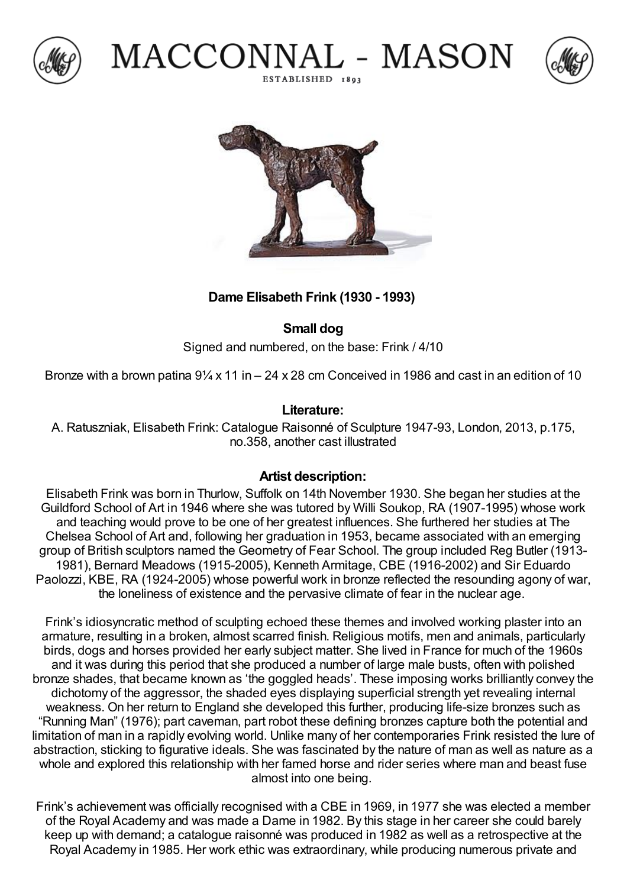





MACCONNAL - MASON

ESTABLISHED 1803

## **Dame Elisabeth Frink (1930 - 1993)**

**Small dog**

Signed and numbered, on the base: Frink / 4/10

Bronze with a brown patina  $9\frac{1}{4}$  x 11 in – 24 x 28 cm Conceived in 1986 and cast in an edition of 10

## **Literature:**

A. Ratuszniak, Elisabeth Frink: Catalogue Raisonné of Sculpture 1947-93, London, 2013, p.175, no.358, another cast illustrated

## **Artist description:**

Elisabeth Frink was born in Thurlow, Suffolk on 14th November 1930. She began her studies at the Guildford School of Art in 1946 where she was tutored by Willi Soukop, RA (1907-1995) whose work and teaching would prove to be one of her greatest influences. She furthered her studies at The Chelsea School of Art and, following her graduation in 1953, became associated with an emerging group of British sculptors named the Geometry of Fear School. The group included Reg Butler (1913- 1981), Bernard Meadows (1915-2005), Kenneth Armitage, CBE (1916-2002) and Sir Eduardo Paolozzi, KBE, RA (1924-2005) whose powerful work in bronze reflected the resounding agony of war, the loneliness of existence and the pervasive climate of fear in the nuclear age.

Frink's idiosyncratic method of sculpting echoed these themes and involved working plaster into an armature, resulting in a broken, almost scarred finish. Religious motifs, men and animals, particularly birds, dogs and horses provided her early subject matter. She lived in France for much of the 1960s and it was during this period that she produced a number of large male busts, often with polished bronze shades, that became known as 'the goggled heads'. These imposing works brilliantly convey the dichotomy of the aggressor, the shaded eyes displaying superficial strength yet revealing internal weakness. On her return to England she developed this further, producing life-size bronzes such as "Running Man" (1976); part caveman, part robot these defining bronzes capture both the potential and limitation of man in a rapidly evolving world. Unlike many of her contemporaries Frink resisted the lure of abstraction, sticking to figurative ideals. She was fascinated by the nature of man as well as nature as a whole and explored this relationship with her famed horse and rider series where man and beast fuse almost into one being.

Frink's achievement was officially recognised with a CBE in 1969, in 1977 she was elected a member of the Royal Academy and was made a Dame in 1982. By this stage in her career she could barely keep up with demand; a catalogue raisonné was produced in 1982 as well as a retrospective at the Royal Academy in 1985. Her work ethic was extraordinary, while producing numerous private and